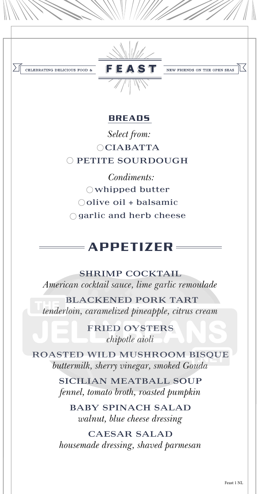*tenderloin, caramelized pineapple, citrus cream*

FRIED OYSTERS *chipotle aioli*

ROASTED WILD MUSHROOM BISQUE *buttermilk, sherry vinegar, smoked Gouda*



SICILIAN MEATBALL SOUP *fennel, tomato broth, roasted pumpkin*

BABY SPINACH SALAD *walnut, blue cheese dressing*

CAESAR SALAD *housemade dressing, shaved parmesan* 

Feast 1 NL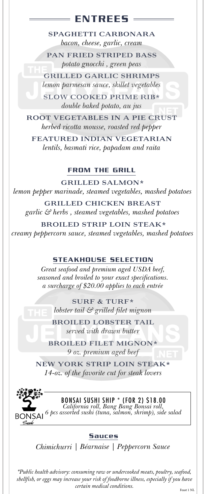SPAGHETTI CARBONARA

*bacon, cheese, garlic, cream*

PAN FRIED STRIPED BASS *potato gnocchi , green peas*

GRILLED GARLIC SHRIMPS *lemon parmesan sauce, skillet vegetables*

SLOW COOKED PRIME RIB\* *double baked potato, au jus*

ROOT VEGETABLES IN A PIE CRUST *herbed ricotta mousse, roasted red pepper*

FEATURED INDIAN VEGETARIAN *lentils, basmati rice, papadam and raita*

## ENTREES

GRILLED SALMON\* *lemon pepper marinade, steamed vegetables, mashed potatoes*

GRILLED CHICKEN BREAST

*garlic & herbs , steamed vegetables, mashed potatoes*

#### BROILED STRIP LOIN STEAK\*

*creamy peppercorn sauce, steamed vegetables, mashed potatoes*

#### FROM THE GRILL

*\*Public health advisory: consuming raw or undercooked meats, poultry, seafood, shellfish, or eggs may increase your risk of foodborne illness, especially if you have certain medical conditions.*

*Great seafood and premium aged USDA beef, seasoned and broiled to your exact specifications. a surcharge of \$20.00 applies to each entrée*

#### STEAKHOUSE SELECTION

SURF & TURF\* *lobster tail & grilled filet mignon*

BROILED LOBSTER TAIL *served with drawn butter*

BROILED FILET MIGNON\* *9 oz. premium aged beef*

NEW YORK STRIP LOIN STEAK\* *14-oz. of the favorite cut for steak lovers*



*Chimichurri | Béarnaise | Peppercorn Sauce* 

### BONSAI SUSHI SHIP \* (FOR 2) \$18.00

*California roll, Bang Bang Bonsai roll, 6 pcs assorted sushi (tuna, salmon, shrimp), side salad*

#### **Sauces**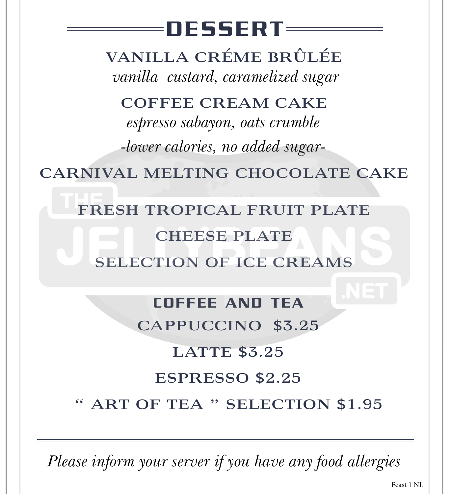# DESSERT

VANILLA CRÉME BRÛLÉE  *vanilla custard, caramelized sugar*

COFFEE CREAM CAKE

*espresso sabayon, oats crumble -lower calories, no added sugar-*

CARNIVAL MELTING CHOCOLATE CAKE

## FRESH TROPICAL FRUIT PLATE CHEESE PLATE SELECTION OF ICE CREAMS

### COFFEE AND TEA

CAPPUCCINO \$3.25

#### LATTE \$3.25

#### ESPRESSO \$2.25

#### ART OF TEA " SELECTION \$1.95

*Please inform your server if you have any food allergies*